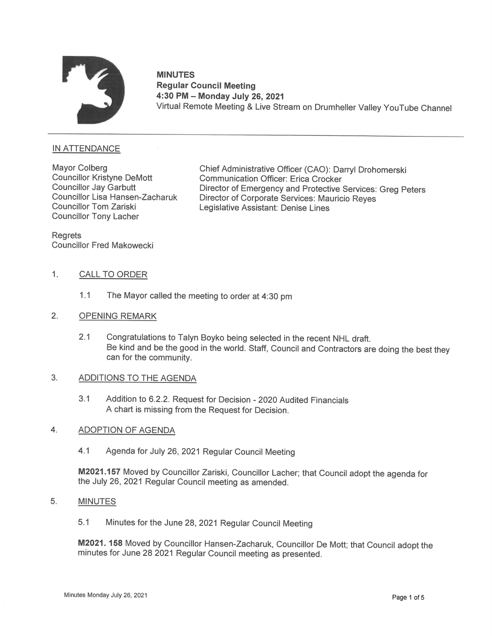

# MINUTES Regular Council Meeting \_ 4:30 PM — Monday July 26,2021 MINUTES<br>"Regular Council Meeting<br>4:30 PM – Monday July 26, 2021<br>Virtual Remote Meeting & Live Stream on Drumheller Valley YouTube Channel

# IN ATTENDANCE

Councillor Kristyne DeMott Councillor Jay Garbutt Councillor Lisa Hansen-Zacharuk Councillor Tom Zariski Councillor Tony Lacher

Mayor Colberg **Chief Administrative Officer (CAO): Darryl Drohomerski** Communication Officer: Erica Crocker Director of Emergency and Protective Services: Greg Peters Director of Corporate Services: Mauricio Reves Legislative Assistant: Denise Lines

**Regrets** Councillor Fred Makowecki

## 1. CALL TO ORDER

- 1.1 The Mayor called the meeting to order at 4:30 pm
- 2. OPENING REMARK
	- 2.1 Congratulations to Talyn Boyko being selected in the recent NHL draft. Be kind and be the good in the world. Staff, Council and Contractors are doing the best they can for the community.

### $3.$ ADDITIONS TO THE AGENDA

3.1 Addition to 6.2.2. Request for Decision - 2020 Audited Financials A chart is missing from the Request for Decision.

#### ADOPTION OF AGENDA  $\overline{4}$ .

4.1 Agenda for July 26, 2021 Regular Council Meeting

M2021.157 Moved by Councillor Zariski, Councillor Lacher; that Council adopt the agenda for the July 26, 2021 Regular Council meeting as amended.

#### $5<sub>1</sub>$ MINUTES

5.1 Minutes for the June 28, 2021 Regular Council Meeting

M2021. 158 Moved by Councillor Hansen-Zacharuk, Councillor De Mott; that Council adopt the minutes for June 28 2021 Regular Council meeting as presented.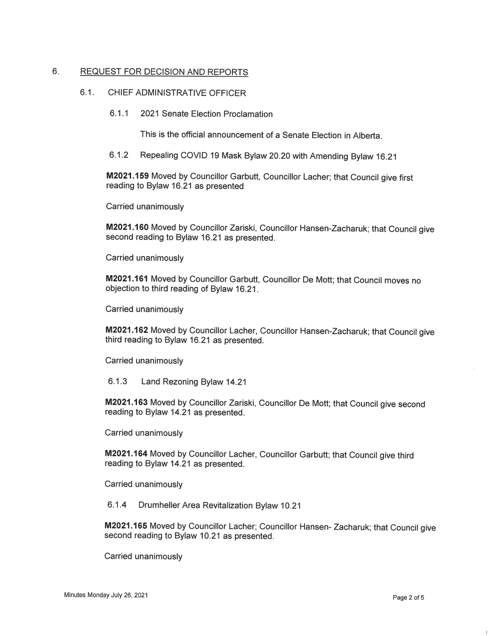# 6. REQUEST FOR DECISION AND REPORTS

# 6.1. CHIEF ADMINISTRATIVE OFFICER

6.1.1 2021 Senate Election Proclamation

This is the official announcement of a Senate Election in Alberta.

6.1.2 Repealing COVID 19 Mask Bylaw 20.20 with Amending Bylaw 16.21

M2021.159 Moved by Councillor Garbutt, Councillor Lacher; that Council give first reading to Bylaw 16.21 as presented

Carried unanimously

M2021.16O Moved by Councillor Zariski, Councillor Hansen-Zacharuk; that Council give second reading to Bylaw 16.21 as presented.

Carried unanimously

M2021.161 Moved by Councillor Garbutt, Councillor De Mott; that Council moves no objection to third reading of Bylaw 16.21

Carried unanimously

M2021.162 Moved by Councillor Lacher, Councillor Hansen-Zacharuk; that Council give third reading to Bylaw 16.21 as presented.

Carried unanimously

6.1.3 Land Rezoning Bylaw 14.21

M2021.163 Moved by Councillor Zariski, Councillor De Mott; that Council give second reading to Bylaw14.21 as presented.

Carried unanimously

M2021.164 Moved by Councillor Lacher, Councillor Garbutt; that Council give third reading to Bylaw 14.21 as presented.

Carried unanimously

6.1.4 Drumheller Area Revitalization Bylaw 10.21

M2021.165 Moved by Councillor Lacher; Councillor Hansen- Zacharuk; that Council give second reading to Bylaw 10.21 as presented.

Carried unanimously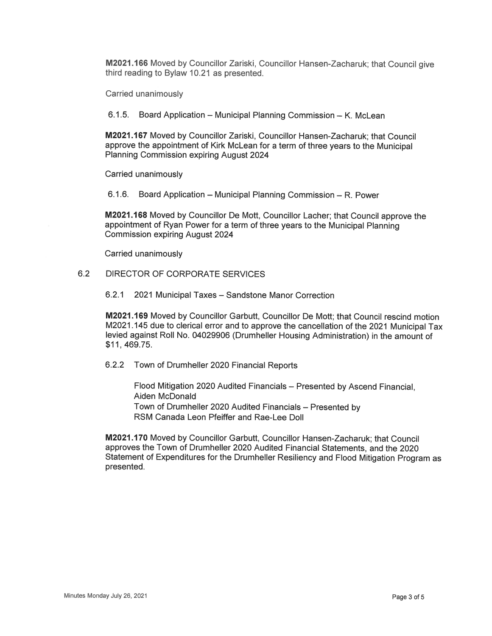M2021.166 Moved by Councillor Zariski, Councillor Hansen-Zacharuk; that Council give third reading to Bylaw 10.21 as presented.

Carried unanimously

6.1.5. Board Application - Municipal Planning Commission - K. McLean

M2021.167 Moved by Councillor Zariski, Councillor Hansen-Zacharuk; that Council approve the appointment of Kirk McLean for a term of three years to the Municipal Planning Commission expiring August 2024

Carried unanimously

6.1.6. Board Application – Municipal Planning Commission – R. Power

M2021.168 Moved by Councillor De Mott, Councillor Lacher; that Council approve the appointment of Ryan Power for a term of three years to the Municipal Planning Commission expiring August 2024

Carried unanimously

# 6.2 DIRECTOR OF CORPORATE SERVICES

6.2.1 2021 Municipal Taxes — Sandstone Manor Correction

M2021.169 Moved by Councillor Garbutt, Councillor De Mott; that Council rescind motion M2021.145 due to clerical error and to approve the cancellation of the 2021 Municipal Tax levied against Roll No. 04029906 (Drumheller Housing Administration) in the amount of \$11, 469.75.

6.2.2 Town of Drumheller 2020 Financial Reports

Flood Mitigation 2020 Audited Financials — Presented by Ascend Financial, Aiden McDonald Town of Drumheller 2020 Audited Financials - Presented by RSM Canada Leon Pfeiffer and Rae-Lee Doll

M2021.170 Moved by Councillor Garbutt, Councillor Hansen-Zacharuk; that Council approves the Town of Drumheller 2020 Audited Financial Statements, and the 2020 Statement of Expenditures for the Drumheller Resiliency and Flood Mitigation Program as presented.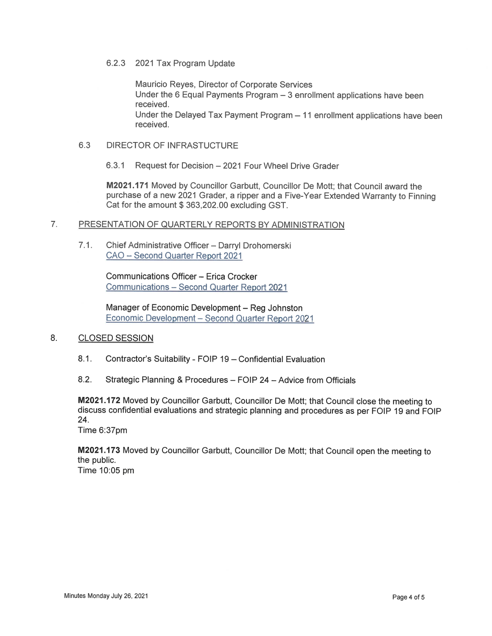## 6.2.3 2021 Tax Program Update

Mauricio Reyes, Director of Corporate Services Under the 6 Equal Payments Program — 3 enrollment applications have been received. Under the Delayed Tax Payment Program  $-11$  enrollment applications have been received.

# 6.3 DIRECTOR OF INFRASTUCTURE

6.3.1 Request for Decision — 2021 Four Wheel Drive Grader

M2021.171 Moved by Councillor Garbutt, Councillor De Mott; that Council award the purchase of a new 2021 Grader, a ripper and a Five-Year Extended Warranty to Finning Cat for the amount \$ 363,202.00 excluding GST.

# 7. PRESENTATION OF QUARTERLY REPORTS BY ADMINISTRATION

7.1. Chief Administrative Officer — Darryl Drohomerski CAO - Second Quarter Report 2021

> Communications Officer — Erica Crocker Communications - Second Quarter Report 2021

Manager of Economic Development — Reg Johnston Economic Development - Second Quarter Report 2021  $\overline{\phantom{a}}$ 

# 8. CLOSED SESSION

- 8.1. Contractor's Suitability FOIP 19 Confidential Evaluation
- 8.2. Strategic Planning & Procedures FOIP 24 Advice from Officials

M2021.172 Moved by Councillor Garbutt, Councillor De Mott; that Council close the meeting to discuss confidential evaluations and strategic planning and procedures as per FOIP 19 and FOIP 24.

Time 6:37pm

M2021.173 Moved by Councillor Garbutt, Councillor De Mott; that Council open the meeting to the public. Time 10:05 pm